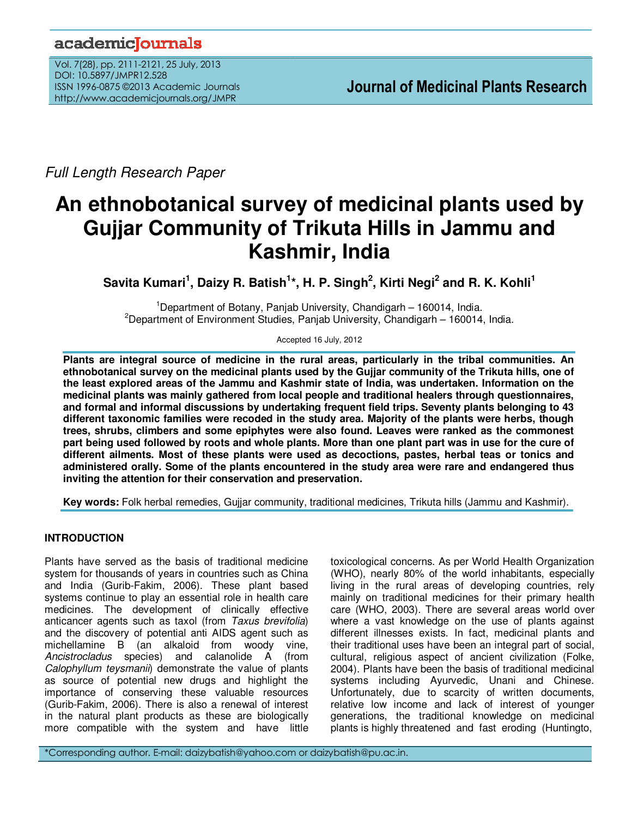# academiclournals

Vol. 7(28), pp. 2111-2121, 25 July, 2013 DOI: 10.5897/JMPR12.528 ISSN 1996-0875 ©2013 Academic Journals http://www.academicjournals.org/JMPR

Full Length Research Paper

# **An ethnobotanical survey of medicinal plants used by Gujjar Community of Trikuta Hills in Jammu and Kashmir, India**

**Savita Kumari<sup>1</sup> , Daizy R. Batish<sup>1</sup> \*, H. P. Singh<sup>2</sup> , Kirti Negi<sup>2</sup> and R. K. Kohli<sup>1</sup>**

<sup>1</sup>Department of Botany, Panjab University, Chandigarh  $-$  160014, India. <sup>2</sup>Department of Environment Studies, Panjab University, Chandigarh – 160014, India.

Accepted 16 July, 2012

**Plants are integral source of medicine in the rural areas, particularly in the tribal communities. An ethnobotanical survey on the medicinal plants used by the Gujjar community of the Trikuta hills, one of the least explored areas of the Jammu and Kashmir state of India, was undertaken. Information on the medicinal plants was mainly gathered from local people and traditional healers through questionnaires, and formal and informal discussions by undertaking frequent field trips. Seventy plants belonging to 43 different taxonomic families were recoded in the study area. Majority of the plants were herbs, though trees, shrubs, climbers and some epiphytes were also found. Leaves were ranked as the commonest part being used followed by roots and whole plants. More than one plant part was in use for the cure of different ailments. Most of these plants were used as decoctions, pastes, herbal teas or tonics and administered orally. Some of the plants encountered in the study area were rare and endangered thus inviting the attention for their conservation and preservation.** 

**Key words:** Folk herbal remedies, Gujjar community, traditional medicines, Trikuta hills (Jammu and Kashmir).

# **INTRODUCTION**

Plants have served as the basis of traditional medicine system for thousands of years in countries such as China and India (Gurib-Fakim, 2006). These plant based systems continue to play an essential role in health care medicines. The development of clinically effective anticancer agents such as taxol (from Taxus brevifolia) and the discovery of potential anti AIDS agent such as michellamine B (an alkaloid from woody vine, Ancistrocladus species) and calanolide A (from Calophyllum teysmanii) demonstrate the value of plants as source of potential new drugs and highlight the importance of conserving these valuable resources (Gurib-Fakim, 2006). There is also a renewal of interest in the natural plant products as these are biologically more compatible with the system and have little

toxicological concerns. As per World Health Organization (WHO), nearly 80% of the world inhabitants, especially living in the rural areas of developing countries, rely mainly on traditional medicines for their primary health care (WHO, 2003). There are several areas world over where a vast knowledge on the use of plants against different illnesses exists. In fact, medicinal plants and their traditional uses have been an integral part of social, cultural, religious aspect of ancient civilization (Folke, 2004). Plants have been the basis of traditional medicinal systems including Ayurvedic, Unani and Chinese. Unfortunately, due to scarcity of written documents, relative low income and lack of interest of younger generations, the traditional knowledge on medicinal plants is highly threatened and fast eroding (Huntingto,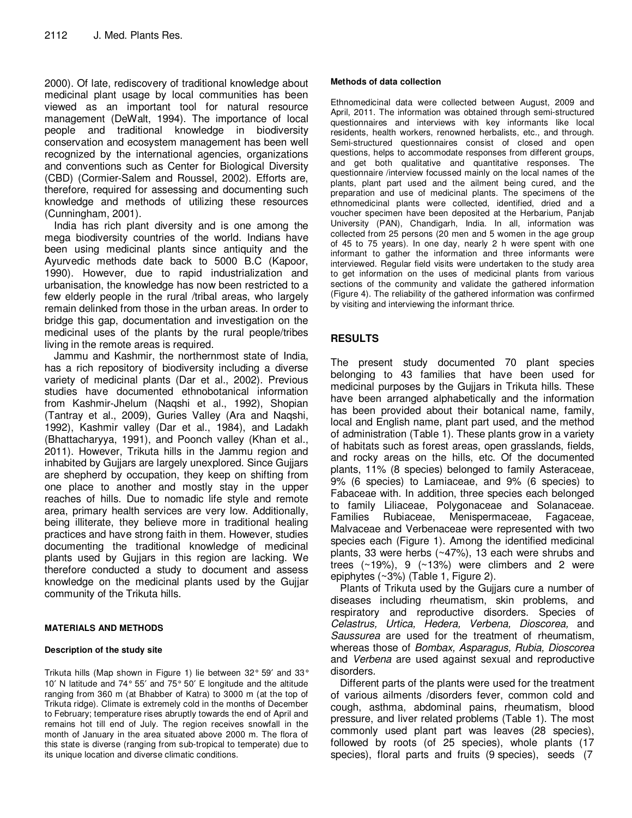2000). Of late, rediscovery of traditional knowledge about medicinal plant usage by local communities has been viewed as an important tool for natural resource management (DeWalt, 1994). The importance of local people and traditional knowledge in biodiversity conservation and ecosystem management has been well recognized by the international agencies, organizations and conventions such as Center for Biological Diversity (CBD) (Cormier-Salem and Roussel, 2002). Efforts are, therefore, required for assessing and documenting such knowledge and methods of utilizing these resources (Cunningham, 2001).

India has rich plant diversity and is one among the mega biodiversity countries of the world. Indians have been using medicinal plants since antiquity and the Ayurvedic methods date back to 5000 B.C (Kapoor, 1990). However, due to rapid industrialization and urbanisation, the knowledge has now been restricted to a few elderly people in the rural /tribal areas, who largely remain delinked from those in the urban areas. In order to bridge this gap, documentation and investigation on the medicinal uses of the plants by the rural people/tribes living in the remote areas is required.

Jammu and Kashmir, the northernmost state of India, has a rich repository of biodiversity including a diverse variety of medicinal plants (Dar et al., 2002). Previous studies have documented ethnobotanical information from Kashmir-Jhelum (Naqshi et al., 1992), Shopian (Tantray et al., 2009), Guries Valley (Ara and Naqshi, 1992), Kashmir valley (Dar et al., 1984), and Ladakh (Bhattacharyya, 1991), and Poonch valley (Khan et al., 2011). However, Trikuta hills in the Jammu region and inhabited by Gujjars are largely unexplored. Since Gujjars are shepherd by occupation, they keep on shifting from one place to another and mostly stay in the upper reaches of hills. Due to nomadic life style and remote area, primary health services are very low. Additionally, being illiterate, they believe more in traditional healing practices and have strong faith in them. However, studies documenting the traditional knowledge of medicinal plants used by Gujjars in this region are lacking. We therefore conducted a study to document and assess knowledge on the medicinal plants used by the Gujjar community of the Trikuta hills.

# **MATERIALS AND METHODS**

# **Description of the study site**

Trikuta hills (Map shown in Figure 1) lie between 32° 59′ and 33° 10′ N latitude and 74° 55′ and 75° 50′ E longitude and the altitude ranging from 360 m (at Bhabber of Katra) to 3000 m (at the top of Trikuta ridge). Climate is extremely cold in the months of December to February; temperature rises abruptly towards the end of April and remains hot till end of July. The region receives snowfall in the month of January in the area situated above 2000 m. The flora of this state is diverse (ranging from sub-tropical to temperate) due to its unique location and diverse climatic conditions.

### **Methods of data collection**

Ethnomedicinal data were collected between August, 2009 and April, 2011. The information was obtained through semi-structured questionnaires and interviews with key informants like local residents, health workers, renowned herbalists, etc., and through. Semi-structured questionnaires consist of closed and open questions, helps to accommodate responses from different groups, and get both qualitative and quantitative responses. The questionnaire /interview focussed mainly on the local names of the plants, plant part used and the ailment being cured, and the preparation and use of medicinal plants. The specimens of the ethnomedicinal plants were collected, identified, dried and a voucher specimen have been deposited at the Herbarium, Panjab University (PAN), Chandigarh, India. In all, information was collected from 25 persons (20 men and 5 women in the age group of 45 to 75 years). In one day, nearly 2 h were spent with one informant to gather the information and three informants were interviewed. Regular field visits were undertaken to the study area to get information on the uses of medicinal plants from various sections of the community and validate the gathered information (Figure 4). The reliability of the gathered information was confirmed by visiting and interviewing the informant thrice.

# **RESULTS**

The present study documented 70 plant species belonging to 43 families that have been used for medicinal purposes by the Gujjars in Trikuta hills. These have been arranged alphabetically and the information has been provided about their botanical name, family, local and English name, plant part used, and the method of administration (Table 1). These plants grow in a variety of habitats such as forest areas, open grasslands, fields, and rocky areas on the hills, etc. Of the documented plants, 11% (8 species) belonged to family Asteraceae, 9% (6 species) to Lamiaceae, and 9% (6 species) to Fabaceae with. In addition, three species each belonged to family Liliaceae, Polygonaceae and Solanaceae.<br>Families Rubiaceae, Menispermaceae. Fagaceae. Rubiaceae, Menispermaceae, Fagaceae, Malvaceae and Verbenaceae were represented with two species each (Figure 1). Among the identified medicinal plants, 33 were herbs (~47%), 13 each were shrubs and trees  $(\sim 19\%)$ , 9  $(\sim 13\%)$  were climbers and 2 were epiphytes (~3%) (Table 1, Figure 2).

Plants of Trikuta used by the Gujjars cure a number of diseases including rheumatism, skin problems, and respiratory and reproductive disorders. Species of Celastrus, Urtica, Hedera, Verbena, Dioscorea, and Saussurea are used for the treatment of rheumatism, whereas those of Bombax, Asparagus, Rubia, Dioscorea and Verbena are used against sexual and reproductive disorders.

Different parts of the plants were used for the treatment of various ailments /disorders fever, common cold and cough, asthma, abdominal pains, rheumatism, blood pressure, and liver related problems (Table 1). The most commonly used plant part was leaves (28 species), followed by roots (of 25 species), whole plants (17 species), floral parts and fruits (9 species), seeds (7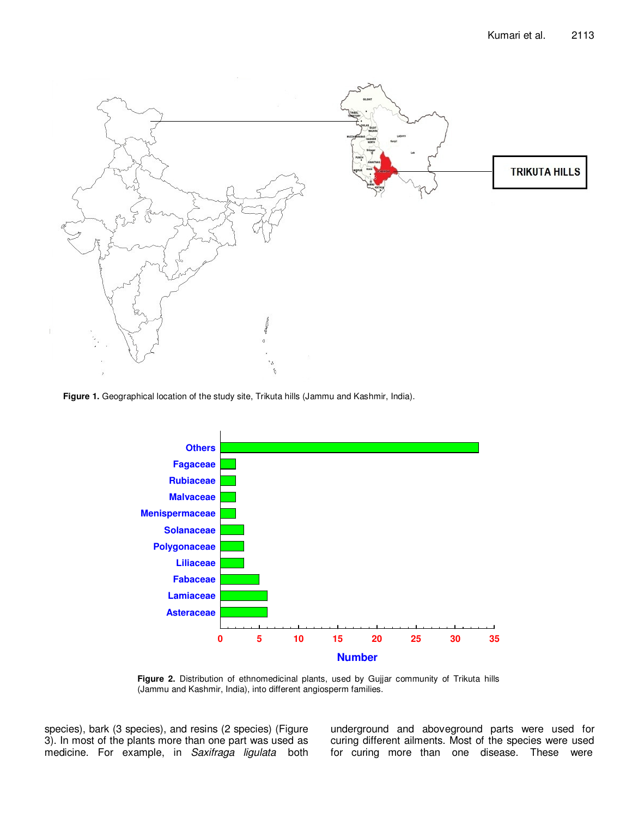

**Figure 1.** Geographical location of the study site, Trikuta hills (Jammu and Kashmir, India).



**Figure 2.** Distribution of ethnomedicinal plants, used by Gujjar community of Trikuta hills (Jammu and Kashmir, India), into different angiosperm families.

species), bark (3 species), and resins (2 species) (Figure 3). In most of the plants more than one part was used as medicine. For example, in Saxifraga ligulata both underground and aboveground parts were used for curing different ailments. Most of the species were used for curing more than one disease. These were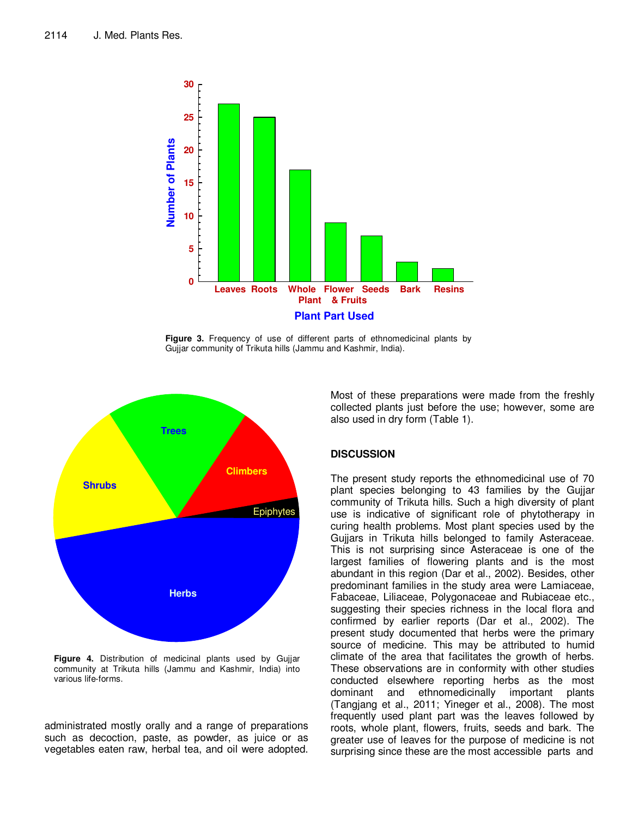

**Figure 3.** Frequency of use of different parts of ethnomedicinal plants by Gujjar community of Trikuta hills (Jammu and Kashmir, India).



**Figure 4.** Distribution of medicinal plants used by Gujjar community at Trikuta hills (Jammu and Kashmir, India) into various life-forms.

administrated mostly orally and a range of preparations such as decoction, paste, as powder, as juice or as vegetables eaten raw, herbal tea, and oil were adopted. Most of these preparations were made from the freshly collected plants just before the use; however, some are also used in dry form (Table 1).

# **DISCUSSION**

The present study reports the ethnomedicinal use of 70 plant species belonging to 43 families by the Gujjar community of Trikuta hills. Such a high diversity of plant use is indicative of significant role of phytotherapy in curing health problems. Most plant species used by the Gujjars in Trikuta hills belonged to family Asteraceae. This is not surprising since Asteraceae is one of the largest families of flowering plants and is the most abundant in this region (Dar et al., 2002). Besides, other predominant families in the study area were Lamiaceae, Fabaceae, Liliaceae, Polygonaceae and Rubiaceae etc., suggesting their species richness in the local flora and confirmed by earlier reports (Dar et al., 2002). The present study documented that herbs were the primary source of medicine. This may be attributed to humid climate of the area that facilitates the growth of herbs. These observations are in conformity with other studies conducted elsewhere reporting herbs as the most dominant and ethnomedicinally important plants (Tangjang et al., 2011; Yineger et al., 2008). The most frequently used plant part was the leaves followed by roots, whole plant, flowers, fruits, seeds and bark. The greater use of leaves for the purpose of medicine is not surprising since these are the most accessible parts and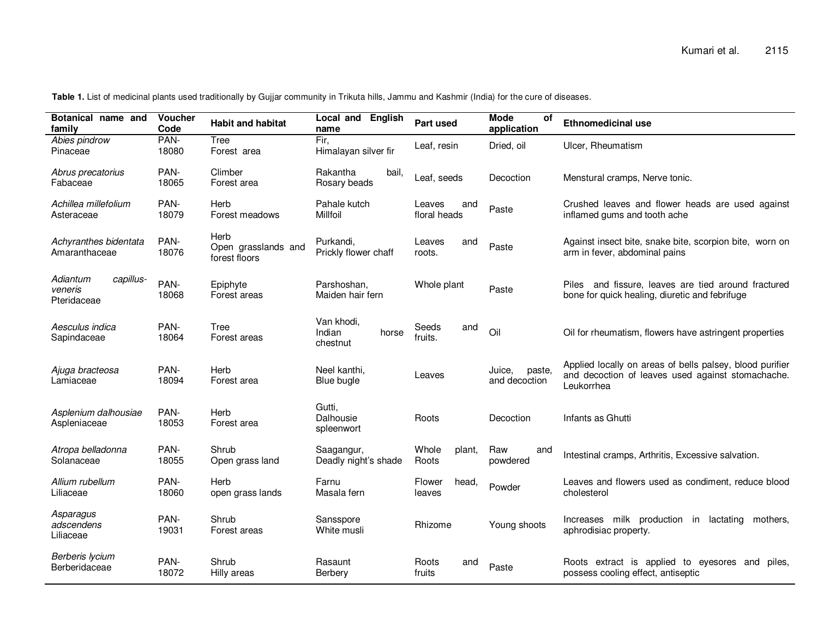**Botanical name and family**  Abies pindrow **Voucher Code Habit and habitat Local and English name Part used Mode of application Ethnomedicinal use**  Pinaceae PAN-<sup>18080</sup>Tree Forest area Fir, Himalayan silver fir Leaf, resin Dried, oil Ulcer, Rheumatism Abrus precatorius Fabaceae PAN-<sup>18065</sup>Climber Forest area Rakantha bail, Rosary beads Leaf, seeds Decoction Menstural cramps, Nerve tonic. Achillea millefolium**Asteraceae** PAN-PAN- Herb Forest Millfoil Charp Forest and Paste Crushed leaves and flower heads are used against Paste Crushed leaves and floral heads are used against inflamed gums and tooth ache Achyranthes bidentata Amaranthaceae PAN-Herb Herb Purkandi, Leaves and paste Against insect bite, snake bite, scorpion bite, worn on<br>18076 forest floors Prickly flower chaff roots. Paste arm in fever, abdominal pains Adiantum capillusveneris Pteridaceae PAN-PAN- Epiphyte Forest areas Parshoshan, Mhole plant Paste Piles and fissure, leaves are tied around fractured paste Paste Paste Piles and fissure, leaves are tied around fractured bone for quick healing, diuretic and febrif Aesculus indica Sapindaceae PAN-Tree Tree Van khodi, Seeds and Oil Coll for rheumatism, flowers have astringent properties<br>18064 Forest areas chestnut horse fruits. Ajuga bracteosa Lamiaceae PAN-18094 Herb Forest area Neel kanthi, Reaves Juice, paste, Applied locally on areas of bells palsey, blood purifier<br>18094 Forest area Sulle bugle Leaves and decoction Leukorrhea Asplenium dalhousiae Aspleniaceae PAN-<sup>18053</sup>Herb Forest area Gutti, Dalhousie spleenwort Roots Decoction Infants as Ghutti Atropa belladonna Solanaceae PAN-PAN- Shrub Saagangur, Whole plant, Raw and Intestinal-cramps, Arthritis, Excessive salvation.<br>18055 Open grass land Deadly night's shade Roots powdered Intestinal cramps, Arthritis, Excessive salvation. Allium rubellumLiliaceae PAN-PAN- Herb Farnu Farnu Flower head, powder Leaves and flowers used as condiment, reduce blood Powder Leaves and flowers used as condiment, reduce blood cholesterol Asparagus adscendens LiliaceaePAN-19031 Shrub Sansspore Bhizome Toung shoots Increases milk production in lactating mothers,<br>19031 Forest areas White musli Rhizome Young shoots aphrodisiac property. Berberis lyciumBerberidaceae PAN- Shrub - Rasaunt - Roots and Paste - Roots extract is applied to eyesores and piles, possess cooling effect, antiseptic - Paste Paste Roots extract is applied to eyesores and piles, possess cooling effect, antiseptic

Table 1. List of medicinal plants used traditionally by Gujjar community in Trikuta hills, Jammu and Kashmir (India) for the cure of diseases.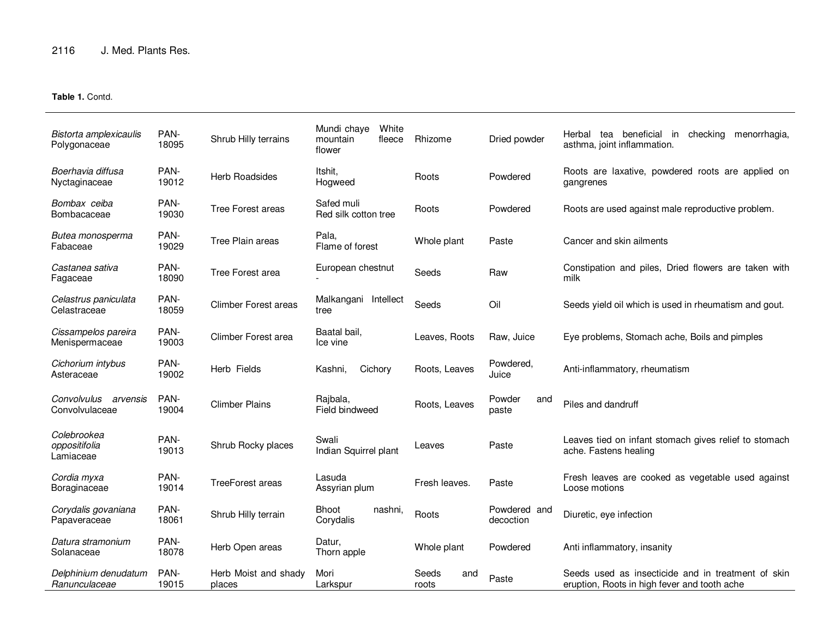| Bistorta amplexicaulis<br>Polygonaceae    | PAN-<br>18095 | Shrub Hilly terrains           | Mundi chaye<br>White<br>mountain<br>fleece<br>flower | Rhizome               | Dried powder              | beneficial in<br>checking<br>Herbal tea<br>menorrhagia,<br>asthma, joint inflammation.             |
|-------------------------------------------|---------------|--------------------------------|------------------------------------------------------|-----------------------|---------------------------|----------------------------------------------------------------------------------------------------|
| Boerhavia diffusa<br>Nyctaginaceae        | PAN-<br>19012 | <b>Herb Roadsides</b>          | Itshit.<br>Hogweed                                   | Roots                 | Powdered                  | Roots are laxative, powdered roots are applied on<br>gangrenes                                     |
| Bombax ceiba<br>Bombacaceae               | PAN-<br>19030 | Tree Forest areas              | Safed muli<br>Red silk cotton tree                   | Roots                 | Powdered                  | Roots are used against male reproductive problem.                                                  |
| Butea monosperma<br>Fabaceae              | PAN-<br>19029 | Tree Plain areas               | Pala.<br>Flame of forest                             | Whole plant           | Paste                     | Cancer and skin ailments                                                                           |
| Castanea sativa<br>Fagaceae               | PAN-<br>18090 | Tree Forest area               | European chestnut                                    | Seeds                 | Raw                       | Constipation and piles, Dried flowers are taken with<br>milk                                       |
| Celastrus paniculata<br>Celastraceae      | PAN-<br>18059 | <b>Climber Forest areas</b>    | Malkangani Intellect<br>tree                         | Seeds                 | Oil                       | Seeds yield oil which is used in rheumatism and gout.                                              |
| Cissampelos pareira<br>Menispermaceae     | PAN-<br>19003 | Climber Forest area            | Baatal bail,<br>Ice vine                             | Leaves, Roots         | Raw, Juice                | Eye problems, Stomach ache, Boils and pimples                                                      |
| Cichorium intybus<br>Asteraceae           | PAN-<br>19002 | Herb Fields                    | Cichory<br>Kashni,                                   | Roots, Leaves         | Powdered,<br>Juice        | Anti-inflammatory, rheumatism                                                                      |
| Convolvulus arvensis<br>Convolvulaceae    | PAN-<br>19004 | <b>Climber Plains</b>          | Raibala,<br>Field bindweed                           | Roots, Leaves         | Powder<br>and<br>paste    | Piles and dandruff                                                                                 |
| Colebrookea<br>oppositifolia<br>Lamiaceae | PAN-<br>19013 | Shrub Rocky places             | Swali<br>Indian Squirrel plant                       | Leaves                | Paste                     | Leaves tied on infant stomach gives relief to stomach<br>ache. Fastens healing                     |
| Cordia myxa<br>Boraginaceae               | PAN-<br>19014 | <b>TreeForest areas</b>        | Lasuda<br>Assyrian plum                              | Fresh leaves.         | Paste                     | Fresh leaves are cooked as vegetable used against<br>Loose motions                                 |
| Corydalis govaniana<br>Papaveraceae       | PAN-<br>18061 | Shrub Hilly terrain            | <b>Bhoot</b><br>nashni,<br>Corydalis                 | Roots                 | Powdered and<br>decoction | Diuretic, eye infection                                                                            |
| Datura stramonium<br>Solanaceae           | PAN-<br>18078 | Herb Open areas                | Datur.<br>Thorn apple                                | Whole plant           | Powdered                  | Anti inflammatory, insanity                                                                        |
| Delphinium denudatum<br>Ranunculaceae     | PAN-<br>19015 | Herb Moist and shady<br>places | Mori<br>Larkspur                                     | Seeds<br>and<br>roots | Paste                     | Seeds used as insecticide and in treatment of skin<br>eruption, Roots in high fever and tooth ache |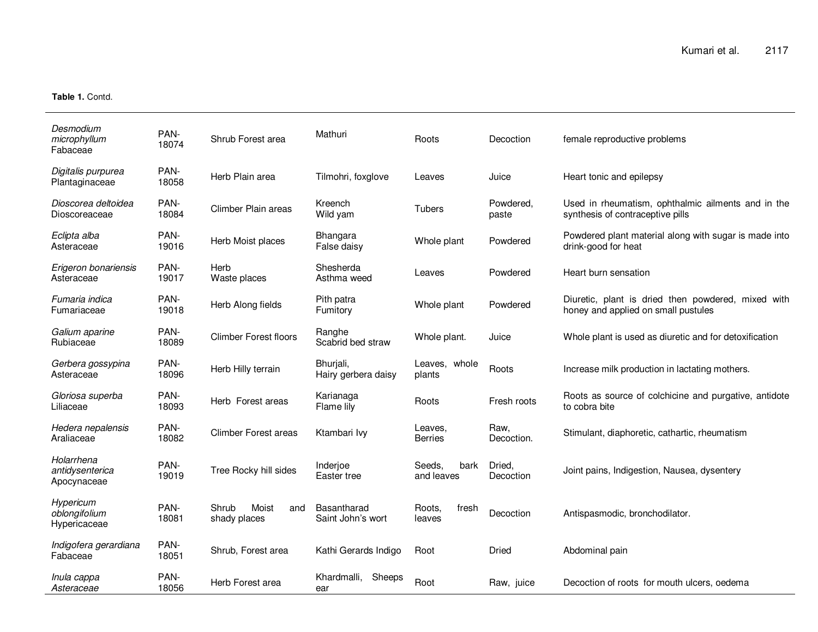| Desmodium<br>microphyllum<br>Fabaceae        | PAN-<br>18074 | Shrub Forest area                     | Mathuri                          | Roots                        | Decoction           | female reproductive problems                                                              |
|----------------------------------------------|---------------|---------------------------------------|----------------------------------|------------------------------|---------------------|-------------------------------------------------------------------------------------------|
| Digitalis purpurea<br>Plantaginaceae         | PAN-<br>18058 | Herb Plain area                       | Tilmohri, foxglove               | Leaves                       | Juice               | Heart tonic and epilepsy                                                                  |
| Dioscorea deltoidea<br>Dioscoreaceae         | PAN-<br>18084 | Climber Plain areas                   | Kreench<br>Wild yam              | Tubers                       | Powdered.<br>paste  | Used in rheumatism, ophthalmic ailments and in the<br>synthesis of contraceptive pills    |
| Eclipta alba<br>Asteraceae                   | PAN-<br>19016 | Herb Moist places                     | <b>Bhangara</b><br>False daisy   | Whole plant                  | Powdered            | Powdered plant material along with sugar is made into<br>drink-good for heat              |
| Erigeron bonariensis<br>Asteraceae           | PAN-<br>19017 | Herb<br>Waste places                  | Shesherda<br>Asthma weed         | Leaves                       | Powdered            | Heart burn sensation                                                                      |
| Fumaria indica<br>Fumariaceae                | PAN-<br>19018 | Herb Along fields                     | Pith patra<br>Fumitory           | Whole plant                  | Powdered            | Diuretic, plant is dried then powdered, mixed with<br>honey and applied on small pustules |
| Galium aparine<br>Rubiaceae                  | PAN-<br>18089 | <b>Climber Forest floors</b>          | Ranghe<br>Scabrid bed straw      | Whole plant.                 | Juice               | Whole plant is used as diuretic and for detoxification                                    |
| Gerbera gossypina<br>Asteraceae              | PAN-<br>18096 | Herb Hilly terrain                    | Bhurjali,<br>Hairy gerbera daisy | Leaves, whole<br>plants      | Roots               | Increase milk production in lactating mothers.                                            |
| Gloriosa superba<br>Liliaceae                | PAN-<br>18093 | Herb Forest areas                     | Karianaga<br>Flame lily          | Roots                        | Fresh roots         | Roots as source of colchicine and purgative, antidote<br>to cobra bite                    |
| Hedera nepalensis<br>Araliaceae              | PAN-<br>18082 | <b>Climber Forest areas</b>           | Ktambari Ivy                     | Leaves,<br><b>Berries</b>    | Raw,<br>Decoction.  | Stimulant, diaphoretic, cathartic, rheumatism                                             |
| Holarrhena<br>antidysenterica<br>Apocynaceae | PAN-<br>19019 | Tree Rocky hill sides                 | Inderjoe<br>Easter tree          | Seeds,<br>bark<br>and leaves | Dried,<br>Decoction | Joint pains, Indigestion, Nausea, dysentery                                               |
| Hypericum<br>oblongifolium<br>Hypericaceae   | PAN-<br>18081 | Shrub<br>Moist<br>and<br>shady places | Basantharad<br>Saint John's wort | Roots,<br>fresh<br>leaves    | Decoction           | Antispasmodic, bronchodilator.                                                            |
| Indigofera gerardiana<br>Fabaceae            | PAN-<br>18051 | Shrub, Forest area                    | Kathi Gerards Indigo             | Root                         | <b>Dried</b>        | Abdominal pain                                                                            |
| Inula cappa<br>Asteraceae                    | PAN-<br>18056 | Herb Forest area                      | Khardmalli,<br>Sheeps<br>ear     | Root                         | Raw, juice          | Decoction of roots for mouth ulcers, oedema                                               |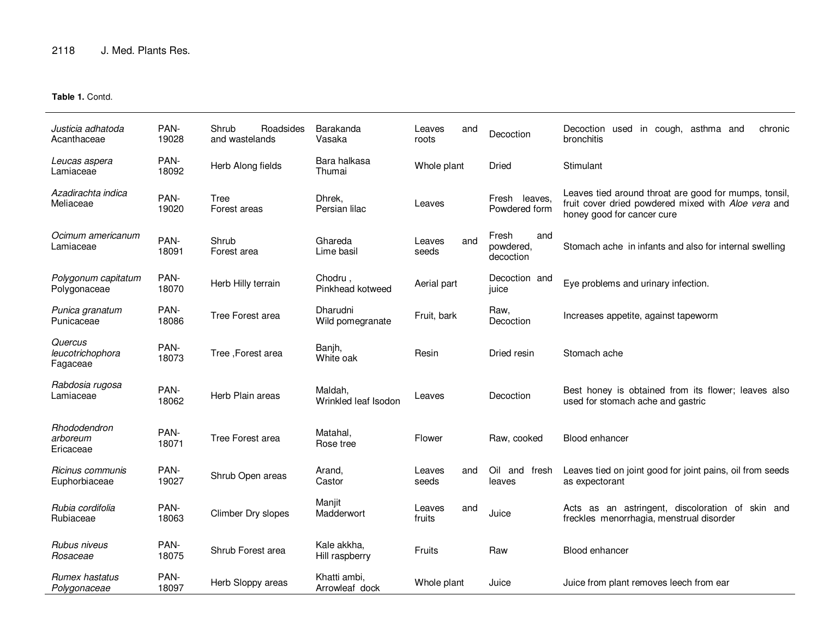| Justicia adhatoda<br>Acanthaceae        | PAN-<br>19028 | Roadsides<br>Shrub<br>and wastelands | Barakanda<br>Vasaka             | Leaves<br>and<br>roots  | Decoction                              | Decoction used in cough, asthma and<br>chronic<br>bronchitis                                                                               |
|-----------------------------------------|---------------|--------------------------------------|---------------------------------|-------------------------|----------------------------------------|--------------------------------------------------------------------------------------------------------------------------------------------|
| Leucas aspera<br>Lamiaceae              | PAN-<br>18092 | Herb Along fields                    | Bara halkasa<br>Thumai          | Whole plant             | Dried                                  | Stimulant                                                                                                                                  |
| Azadirachta indica<br>Meliaceae         | PAN-<br>19020 | Tree<br>Forest areas                 | Dhrek,<br>Persian lilac         | Leaves                  | Fresh leaves,<br>Powdered form         | Leaves tied around throat are good for mumps, tonsil,<br>fruit cover dried powdered mixed with Aloe vera and<br>honey good for cancer cure |
| Ocimum americanum<br>Lamiaceae          | PAN-<br>18091 | Shrub<br>Forest area                 | Ghareda<br>Lime basil           | Leaves<br>and<br>seeds  | Fresh<br>and<br>powdered,<br>decoction | Stomach ache in infants and also for internal swelling                                                                                     |
| Polygonum capitatum<br>Polygonaceae     | PAN-<br>18070 | Herb Hilly terrain                   | Chodru,<br>Pinkhead kotweed     | Aerial part             | Decoction and<br>juice                 | Eye problems and urinary infection.                                                                                                        |
| Punica granatum<br>Punicaceae           | PAN-<br>18086 | Tree Forest area                     | Dharudni<br>Wild pomegranate    | Fruit, bark             | Raw,<br>Decoction                      | Increases appetite, against tapeworm                                                                                                       |
| Quercus<br>leucotrichophora<br>Fagaceae | PAN-<br>18073 | Tree, Forest area                    | Banjh,<br>White oak             | Resin                   | Dried resin                            | Stomach ache                                                                                                                               |
| Rabdosia rugosa<br>Lamiaceae            | PAN-<br>18062 | Herb Plain areas                     | Maldah,<br>Wrinkled leaf Isodon | Leaves                  | Decoction                              | Best honey is obtained from its flower; leaves also<br>used for stomach ache and gastric                                                   |
| Rhododendron<br>arboreum<br>Ericaceae   | PAN-<br>18071 | Tree Forest area                     | Matahal,<br>Rose tree           | Flower                  | Raw, cooked                            | Blood enhancer                                                                                                                             |
| Ricinus communis<br>Euphorbiaceae       | PAN-<br>19027 | Shrub Open areas                     | Arand,<br>Castor                | Leaves<br>and<br>seeds  | Oil and fresh<br>leaves                | Leaves tied on joint good for joint pains, oil from seeds<br>as expectorant                                                                |
| Rubia cordifolia<br>Rubiaceae           | PAN-<br>18063 | Climber Dry slopes                   | Manjit<br>Madderwort            | Leaves<br>and<br>fruits | Juice                                  | Acts as an astringent, discoloration of skin and<br>freckles menorrhagia, menstrual disorder                                               |
| Rubus niveus<br>Rosaceae                | PAN-<br>18075 | Shrub Forest area                    | Kale akkha,<br>Hill raspberry   | Fruits                  | Raw                                    | Blood enhancer                                                                                                                             |
| Rumex hastatus<br>Polygonaceae          | PAN-<br>18097 | Herb Sloppy areas                    | Khatti ambi,<br>Arrowleaf dock  | Whole plant             | Juice                                  | Juice from plant removes leech from ear                                                                                                    |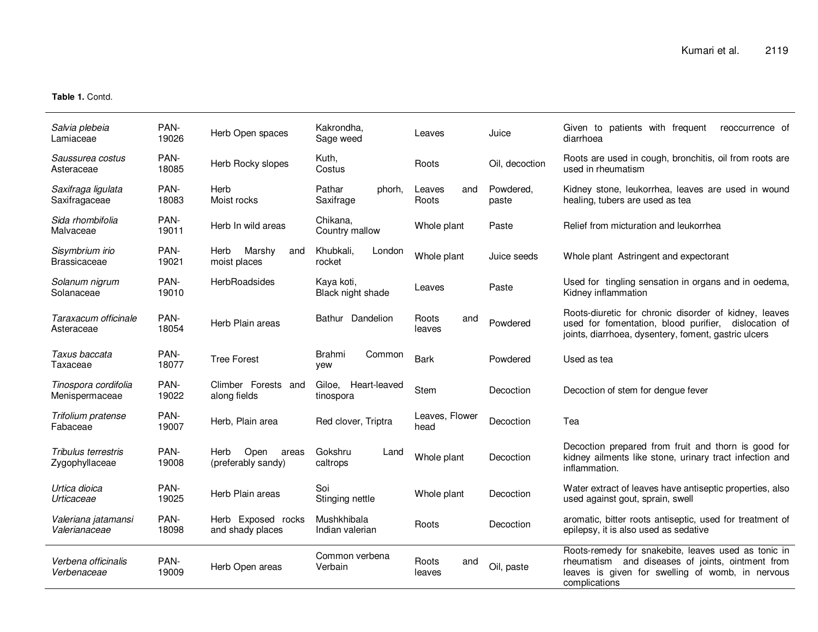| Salvia plebeia<br>Lamiaceae            | PAN-<br>19026 | Herb Open spaces                            | Kakrondha.<br>Sage weed             | Leaves                 | Juice              | Given to patients with frequent<br>reoccurrence of<br>diarrhoea                                                                                                              |
|----------------------------------------|---------------|---------------------------------------------|-------------------------------------|------------------------|--------------------|------------------------------------------------------------------------------------------------------------------------------------------------------------------------------|
| Saussurea costus<br>Asteraceae         | PAN-<br>18085 | Herb Rocky slopes                           | Kuth.<br>Costus                     | Roots                  | Oil, decoction     | Roots are used in cough, bronchitis, oil from roots are<br>used in rheumatism                                                                                                |
| Saxifraga ligulata<br>Saxifragaceae    | PAN-<br>18083 | Herb<br>Moist rocks                         | Pathar<br>phorh,<br>Saxifrage       | Leaves<br>and<br>Roots | Powdered,<br>paste | Kidney stone, leukorrhea, leaves are used in wound<br>healing, tubers are used as tea                                                                                        |
| Sida rhombifolia<br>Malvaceae          | PAN-<br>19011 | Herb In wild areas                          | Chikana,<br>Country mallow          | Whole plant            | Paste              | Relief from micturation and leukorrhea                                                                                                                                       |
| Sisymbrium irio<br><b>Brassicaceae</b> | PAN-<br>19021 | Marshy<br>Herb<br>and<br>moist places       | Khubkali,<br>London<br>rocket       | Whole plant            | Juice seeds        | Whole plant Astringent and expectorant                                                                                                                                       |
| Solanum nigrum<br>Solanaceae           | PAN-<br>19010 | <b>HerbRoadsides</b>                        | Kaya koti,<br>Black night shade     | Leaves                 | Paste              | Used for tingling sensation in organs and in oedema,<br>Kidney inflammation                                                                                                  |
| Taraxacum officinale<br>Asteraceae     | PAN-<br>18054 | Herb Plain areas                            | Bathur Dandelion                    | Roots<br>and<br>leaves | Powdered           | Roots-diuretic for chronic disorder of kidney, leaves<br>used for fomentation, blood purifier, dislocation of<br>joints, diarrhoea, dysentery, foment, gastric ulcers        |
| Taxus baccata<br>Taxaceae              | PAN-<br>18077 | <b>Tree Forest</b>                          | Brahmi<br>Common<br>yew             | <b>Bark</b>            | Powdered           | Used as tea                                                                                                                                                                  |
| Tinospora cordifolia<br>Menispermaceae | PAN-<br>19022 | Climber Forests and<br>along fields         | Giloe,<br>Heart-leaved<br>tinospora | <b>Stem</b>            | Decoction          | Decoction of stem for dengue fever                                                                                                                                           |
| Trifolium pratense<br>Fabaceae         | PAN-<br>19007 | Herb, Plain area                            | Red clover, Triptra                 | Leaves, Flower<br>head | Decoction          | Tea                                                                                                                                                                          |
| Tribulus terrestris<br>Zygophyllaceae  | PAN-<br>19008 | Open<br>Herb<br>areas<br>(preferably sandy) | Gokshru<br>Land<br>caltrops         | Whole plant            | Decoction          | Decoction prepared from fruit and thorn is good for<br>kidney ailments like stone, urinary tract infection and<br>inflammation.                                              |
| Urtica dioica<br>Urticaceae            | PAN-<br>19025 | Herb Plain areas                            | Soi<br>Stinging nettle              | Whole plant            | Decoction          | Water extract of leaves have antiseptic properties, also<br>used against gout, sprain, swell                                                                                 |
| Valeriana jatamansi<br>Valerianaceae   | PAN-<br>18098 | Herb Exposed rocks<br>and shady places      | Mushkhibala<br>Indian valerian      | Roots                  | Decoction          | aromatic, bitter roots antiseptic, used for treatment of<br>epilepsy, it is also used as sedative                                                                            |
| Verbena officinalis<br>Verbenaceae     | PAN-<br>19009 | Herb Open areas                             | Common verbena<br>Verbain           | Roots<br>and<br>leaves | Oil, paste         | Roots-remedy for snakebite, leaves used as tonic in<br>rheumatism and diseases of joints, ointment from<br>leaves is given for swelling of womb, in nervous<br>complications |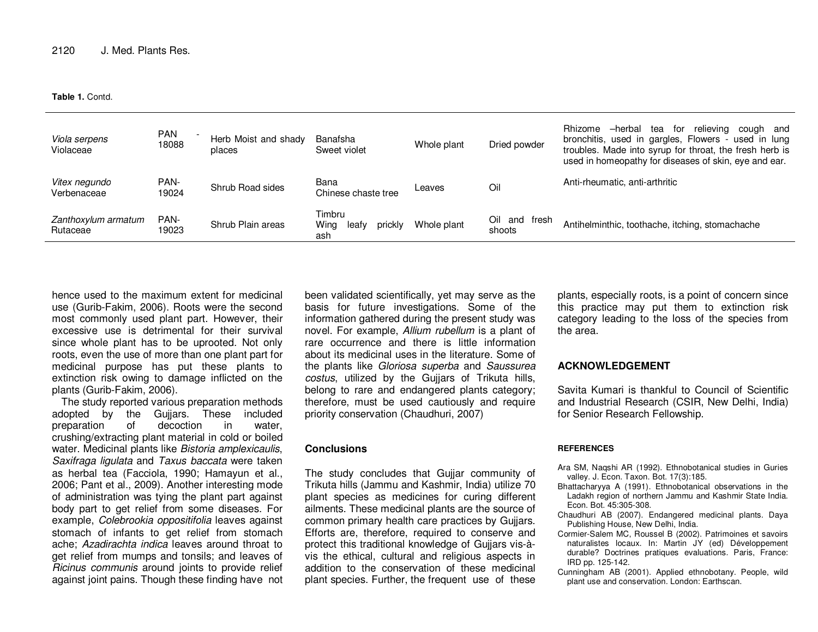| Viola serpens<br>Violaceae      | <b>PAN</b><br>18088 | Herb Moist and shady<br>places | Banafsha<br>Sweet violet                  | Whole plant | Dried powder            | Rhizome<br>for<br>relieving<br>-herbal<br>and<br>tea<br>cough<br>bronchitis, used in gargles, Flowers - used in lung<br>troubles. Made into syrup for throat, the fresh herb is<br>used in homeopathy for diseases of skin, eye and ear. |
|---------------------------------|---------------------|--------------------------------|-------------------------------------------|-------------|-------------------------|------------------------------------------------------------------------------------------------------------------------------------------------------------------------------------------------------------------------------------------|
| Vitex negundo<br>Verbenaceae    | PAN-<br>19024       | Shrub Road sides               | Bana<br>Chinese chaste tree               | Leaves      | Oil                     | Anti-rheumatic, anti-arthritic                                                                                                                                                                                                           |
| Zanthoxylum armatum<br>Rutaceae | PAN-<br>19023       | Shrub Plain areas              | Timbru<br>Wing<br>prickly<br>leatv<br>ash | Whole plant | Oil and fresh<br>shoots | Antihelminthic, toothache, itching, stomachache                                                                                                                                                                                          |

hence used to the maximum extent for medicinal use (Gurib-Fakim, 2006). Roots were the second most commonly used plant part. However, their excessive use is detrimental for their survival since whole plant has to be uprooted. Not only roots, even the use of more than one plant part for medicinal purpose has put these plants to extinction risk owing to damage inflicted on the plants (Gurib-Fakim, 2006).

 The study reported various preparation methods adopted by the Gujjars. These included water. preparation of decoction in crushing/extracting plant material in cold or boiled water. Medicinal plants like Bistoria amplexicaulis, Saxifraga ligulata and Taxus baccata were taken as herbal tea (Facciola, 1990; Hamayun et al., 2006; Pant et al., 2009). Another interesting mode of administration was tying the plant part against body part to get relief from some diseases. For example, Colebrookia oppositifolia leaves against stomach of infants to get relief from stomach ache; Azadirachta indica leaves around throat to get relief from mumps and tonsils; and leaves of Ricinus communis around joints to provide relief against joint pains. Though these finding have not

been validated scientifically, yet may serve as the basis for future investigations. Some of the information gathered during the present study was novel. For example, Allium rubellum is a plant of rare occurrence and there is little information about its medicinal uses in the literature. Some ofthe plants like Gloriosa superba and Saussurea costus, utilized by the Gujjars of Trikuta hills, belong to rare and endangered plants category; therefore, must be used cautiously and require priority conservation (Chaudhuri, 2007)

#### **Conclusions**

The study concludes that Gujjar community of Trikuta hills (Jammu and Kashmir, India) utilize 70 plant species as medicines for curing different ailments. These medicinal plants are the source of common primary health care practices by Gujjars. Efforts are, therefore, required to conserve and protect this traditional knowledge of Gujjars vis-àvis the ethical, cultural and religious aspects in addition to the conservation of these medicinal plant species. Further, the frequent use of these

plants, especially roots, is a point of concern since this practice may put them to extinction risk category leading to the loss of the species from the area.

### **ACKNOWLEDGEMENT**

Savita Kumari is thankful to Council of Scientific and Industrial Research (CSIR, New Delhi, India) for Senior Research Fellowship.

#### **REFERENCES**

- Ara SM, Naqshi AR (1992). Ethnobotanical studies in Guries valley. J. Econ. Taxon. Bot. 17(3):185.
- Bhattacharyya A (1991). Ethnobotanical observations in the Ladakh region of northern Jammu and Kashmir State India. Econ. Bot. 45:305-308.
- Chaudhuri AB (2007). Endangered medicinal plants. Daya Publishing House, New Delhi, India.
- Cormier-Salem MC, Roussel B (2002). Patrimoines et savoirs naturalistes locaux. In: Martin JY (ed) Développement durable? Doctrines pratiques evaluations. Paris, France: IRD pp. 125-142.
- Cunningham AB (2001). Applied ethnobotany. People, wild plant use and conservation. London: Earthscan.